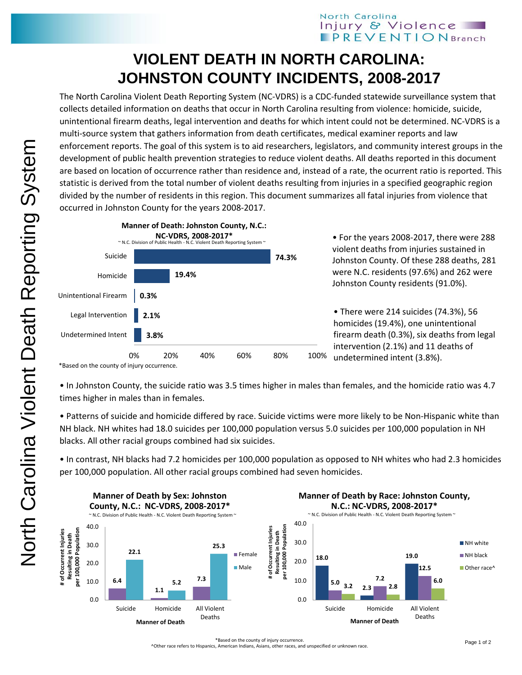## North Carolina Injury & Violence **PREVENTION** Branch

## **VIOLENT DEATH IN NORTH CAROLINA: JOHNSTON COUNTY INCIDENTS, 2008-2017**

The North Carolina Violent Death Reporting System (NC-VDRS) is a CDC-funded statewide surveillance system that collects detailed information on deaths that occur in North Carolina resulting from violence: homicide, suicide, unintentional firearm deaths, legal intervention and deaths for which intent could not be determined. NC-VDRS is a multi-source system that gathers information from death certificates, medical examiner reports and law enforcement reports. The goal of this system is to aid researchers, legislators, and community interest groups in the development of public health prevention strategies to reduce violent deaths. All deaths reported in this document are based on location of occurrence rather than residence and, instead of a rate, the ocurrent ratio is reported. This statistic is derived from the total number of violent deaths resulting from injuries in a specified geographic region divided by the number of residents in this region. This document summarizes all fatal injuries from violence that occurred in Johnston County for the years 2008-2017.



\*Based on the county of injury occurrence.

• In Johnston County, the suicide ratio was 3.5 times higher in males than females, and the homicide ratio was 4.7 times higher in males than in females.

• Patterns of suicide and homicide differed by race. Suicide victims were more likely to be Non-Hispanic white than NH black. NH whites had 18.0 suicides per 100,000 population versus 5.0 suicides per 100,000 population in NH blacks. All other racial groups combined had six suicides.

• In contrast, NH blacks had 7.2 homicides per 100,000 population as opposed to NH whites who had 2.3 homicides per 100,000 population. All other racial groups combined had seven homicides.



^Other race refers to Hispanics, American Indians, Asians, other races, and unspecified or unknown race.